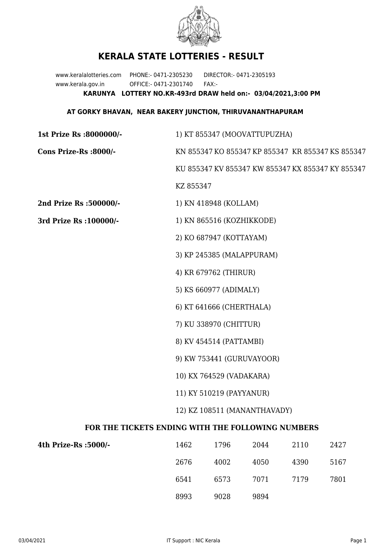

## **KERALA STATE LOTTERIES - RESULT**

www.keralalotteries.com PHONE:- 0471-2305230 DIRECTOR:- 0471-2305193 www.kerala.gov.in OFFICE:- 0471-2301740 FAX:- **KARUNYA LOTTERY NO.KR-493rd DRAW held on:- 03/04/2021,3:00 PM**

## **AT GORKY BHAVAN, NEAR BAKERY JUNCTION, THIRUVANANTHAPURAM**

| 1st Prize Rs :8000000/-                           | 1) KT 855347 (MOOVATTUPUZHA)                      |                           |      |      |                                                   |  |
|---------------------------------------------------|---------------------------------------------------|---------------------------|------|------|---------------------------------------------------|--|
| Cons Prize-Rs :8000/-                             | KN 855347 KO 855347 KP 855347 KR 855347 KS 855347 |                           |      |      |                                                   |  |
|                                                   |                                                   |                           |      |      | KU 855347 KV 855347 KW 855347 KX 855347 KY 855347 |  |
|                                                   | KZ 855347                                         |                           |      |      |                                                   |  |
| 2nd Prize Rs :500000/-                            |                                                   | 1) KN 418948 (KOLLAM)     |      |      |                                                   |  |
| 3rd Prize Rs : 100000/-                           | 1) KN 865516 (KOZHIKKODE)                         |                           |      |      |                                                   |  |
|                                                   |                                                   | 2) KO 687947 (KOTTAYAM)   |      |      |                                                   |  |
|                                                   |                                                   | 3) KP 245385 (MALAPPURAM) |      |      |                                                   |  |
|                                                   |                                                   | 4) KR 679762 (THIRUR)     |      |      |                                                   |  |
|                                                   |                                                   | 5) KS 660977 (ADIMALY)    |      |      |                                                   |  |
|                                                   |                                                   | 6) KT 641666 (CHERTHALA)  |      |      |                                                   |  |
|                                                   |                                                   | 7) KU 338970 (CHITTUR)    |      |      |                                                   |  |
|                                                   | 8) KV 454514 (PATTAMBI)                           |                           |      |      |                                                   |  |
|                                                   | 9) KW 753441 (GURUVAYOOR)                         |                           |      |      |                                                   |  |
|                                                   | 10) KX 764529 (VADAKARA)                          |                           |      |      |                                                   |  |
|                                                   | 11) KY 510219 (PAYYANUR)                          |                           |      |      |                                                   |  |
|                                                   | 12) KZ 108511 (MANANTHAVADY)                      |                           |      |      |                                                   |  |
| FOR THE TICKETS ENDING WITH THE FOLLOWING NUMBERS |                                                   |                           |      |      |                                                   |  |
| 4th Prize-Rs :5000/-                              | 1462                                              | 1796                      | 2044 | 2110 | 2427                                              |  |
|                                                   |                                                   |                           |      |      |                                                   |  |

| 2676 | 4002 | 4050 | 4390 | 5167 |
|------|------|------|------|------|
| 6541 | 6573 | 7071 | 7179 | 7801 |
| 8993 | 9028 | 9894 |      |      |
|      |      |      |      |      |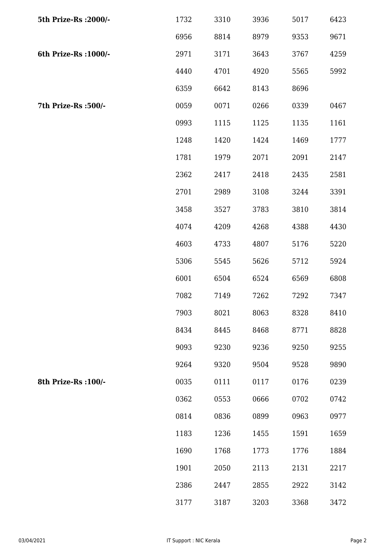| 5th Prize-Rs : 2000/- | 1732 | 3310 | 3936 | 5017 | 6423 |
|-----------------------|------|------|------|------|------|
|                       | 6956 | 8814 | 8979 | 9353 | 9671 |
| 6th Prize-Rs : 1000/- | 2971 | 3171 | 3643 | 3767 | 4259 |
|                       | 4440 | 4701 | 4920 | 5565 | 5992 |
|                       | 6359 | 6642 | 8143 | 8696 |      |
| 7th Prize-Rs :500/-   | 0059 | 0071 | 0266 | 0339 | 0467 |
|                       | 0993 | 1115 | 1125 | 1135 | 1161 |
|                       | 1248 | 1420 | 1424 | 1469 | 1777 |
|                       | 1781 | 1979 | 2071 | 2091 | 2147 |
|                       | 2362 | 2417 | 2418 | 2435 | 2581 |
|                       | 2701 | 2989 | 3108 | 3244 | 3391 |
|                       | 3458 | 3527 | 3783 | 3810 | 3814 |
|                       | 4074 | 4209 | 4268 | 4388 | 4430 |
|                       | 4603 | 4733 | 4807 | 5176 | 5220 |
|                       | 5306 | 5545 | 5626 | 5712 | 5924 |
|                       | 6001 | 6504 | 6524 | 6569 | 6808 |
|                       | 7082 | 7149 | 7262 | 7292 | 7347 |
|                       | 7903 | 8021 | 8063 | 8328 | 8410 |
|                       | 8434 | 8445 | 8468 | 8771 | 8828 |
|                       | 9093 | 9230 | 9236 | 9250 | 9255 |
|                       | 9264 | 9320 | 9504 | 9528 | 9890 |
| 8th Prize-Rs : 100/-  | 0035 | 0111 | 0117 | 0176 | 0239 |
|                       | 0362 | 0553 | 0666 | 0702 | 0742 |
|                       | 0814 | 0836 | 0899 | 0963 | 0977 |
|                       | 1183 | 1236 | 1455 | 1591 | 1659 |
|                       | 1690 | 1768 | 1773 | 1776 | 1884 |
|                       | 1901 | 2050 | 2113 | 2131 | 2217 |
|                       | 2386 | 2447 | 2855 | 2922 | 3142 |
|                       | 3177 | 3187 | 3203 | 3368 | 3472 |